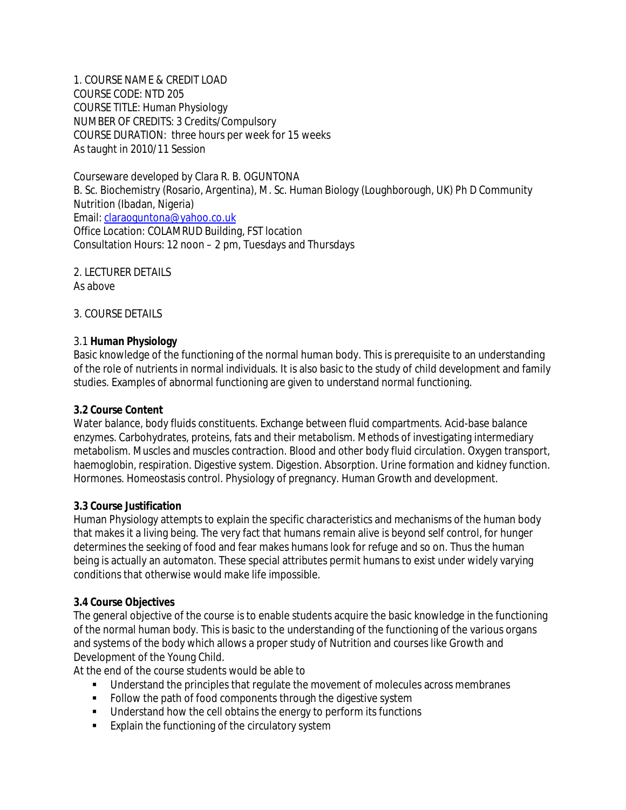1. COURSE NAME & CREDIT LOAD COURSE CODE: NTD 205 COURSE TITLE: Human Physiology NUMBER OF CREDITS: 3 Credits/Compulsory COURSE DURATION: three hours per week for 15 weeks As taught in 2010/11 Session

Courseware developed by Clara R. B. OGUNTONA B. Sc. Biochemistry (Rosario, Argentina), M. Sc. Human Biology (Loughborough, UK) Ph D Community Nutrition (Ibadan, Nigeria) Email: claraoguntona@yahoo.co.uk Office Location: COLAMRUD Building, FST location Consultation Hours: 12 noon – 2 pm, Tuesdays and Thursdays

2. LECTURER DETAILS As above

3. COURSE DETAILS

#### 3.1 **Human Physiology**

Basic knowledge of the functioning of the normal human body. This is prerequisite to an understanding of the role of nutrients in normal individuals. It is also basic to the study of child development and family studies. Examples of abnormal functioning are given to understand normal functioning.

#### **3.2 Course Content**

Water balance, body fluids constituents. Exchange between fluid compartments. Acid-base balance enzymes. Carbohydrates, proteins, fats and their metabolism. Methods of investigating intermediary metabolism. Muscles and muscles contraction. Blood and other body fluid circulation. Oxygen transport, haemoglobin, respiration. Digestive system. Digestion. Absorption. Urine formation and kidney function. Hormones. Homeostasis control. Physiology of pregnancy. Human Growth and development.

#### **3.3 Course Justification**

Human Physiology attempts to explain the specific characteristics and mechanisms of the human body that makes it a living being. The very fact that humans remain alive is beyond self control, for hunger determines the seeking of food and fear makes humans look for refuge and so on. Thus the human being is actually an automaton. These special attributes permit humans to exist under widely varying conditions that otherwise would make life impossible.

#### **3.4 Course Objectives**

The general objective of the course is to enable students acquire the basic knowledge in the functioning of the normal human body. This is basic to the understanding of the functioning of the various organs and systems of the body which allows a proper study of Nutrition and courses like Growth and Development of the Young Child.

At the end of the course students would be able to

- Understand the principles that regulate the movement of molecules across membranes
- Follow the path of food components through the digestive system
- Understand how the cell obtains the energy to perform its functions
- **Explain the functioning of the circulatory system**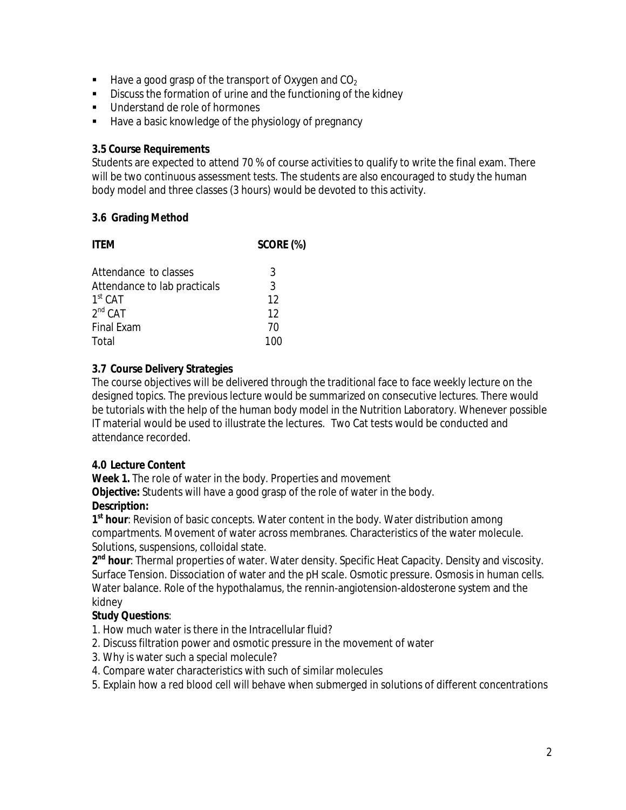- $\blacksquare$  Have a good grasp of the transport of Oxygen and CO<sub>2</sub>
- Discuss the formation of urine and the functioning of the kidney
- Understand de role of hormones
- **Have a basic knowledge of the physiology of pregnancy**

#### **3.5 Course Requirements**

Students are expected to attend 70 % of course activities to qualify to write the final exam. There will be two continuous assessment tests. The students are also encouraged to study the human body model and three classes (3 hours) would be devoted to this activity.

#### **3.6 Grading Method**

| <b>ITEM</b>                  | SCORE (%) |
|------------------------------|-----------|
| Attendance to classes        | 3         |
| Attendance to lab practicals | 3         |
| $1st$ CAT                    | 12        |
| $2^{nd}$ CAT                 | 12        |
| <b>Final Exam</b>            | 70        |
| Total                        | 1ሰበ       |

#### **3.7 Course Delivery Strategies**

The course objectives will be delivered through the traditional face to face weekly lecture on the designed topics. The previous lecture would be summarized on consecutive lectures. There would be tutorials with the help of the human body model in the Nutrition Laboratory. Whenever possible IT material would be used to illustrate the lectures. Two Cat tests would be conducted and attendance recorded.

#### **4.0 Lecture Content**

**Week 1.** The role of water in the body. Properties and movement

**Objective:** Students will have a good grasp of the role of water in the body.

### **Description:**

**1 st hour**: Revision of basic concepts. Water content in the body. Water distribution among compartments. Movement of water across membranes. Characteristics of the water molecule. Solutions, suspensions, colloidal state.

**2 nd hour**: Thermal properties of water. Water density. Specific Heat Capacity. Density and viscosity. Surface Tension. Dissociation of water and the pH scale. Osmotic pressure. Osmosis in human cells. Water balance. Role of the hypothalamus, the rennin-angiotension-aldosterone system and the kidney

### **Study Questions**:

1. How much water is there in the Intracellular fluid?

- 2. Discuss filtration power and osmotic pressure in the movement of water
- 3. Why is water such a special molecule?
- 4. Compare water characteristics with such of similar molecules
- 5. Explain how a red blood cell will behave when submerged in solutions of different concentrations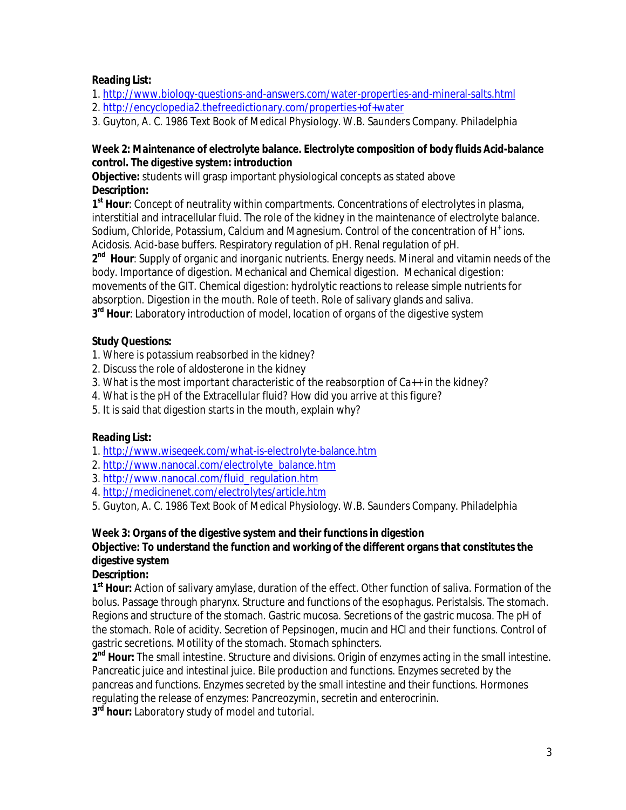### **Reading List:**

1. http://www.biology-questions-and-answers.com/water-properties-and-mineral-salts.html 2. http://encyclopedia2.thefreedictionary.com/properties+of+water

3. Guyton, A. C. 1986 Text Book of Medical Physiology. W.B. Saunders Company. Philadelphia

#### **Week 2: Maintenance of electrolyte balance. Electrolyte composition of body fluids Acid-balance control. The digestive system: introduction**

**Objective:** students will grasp important physiological concepts as stated above **Description:**

**1 st Hour**: Concept of neutrality within compartments. Concentrations of electrolytes in plasma, interstitial and intracellular fluid. The role of the kidney in the maintenance of electrolyte balance. Sodium, Chloride, Potassium, Calcium and Magnesium. Control of the concentration of H<sup>+</sup> ions. Acidosis. Acid-base buffers. Respiratory regulation of pH. Renal regulation of pH.

**2 nd Hour**: Supply of organic and inorganic nutrients. Energy needs. Mineral and vitamin needs of the body. Importance of digestion. Mechanical and Chemical digestion. Mechanical digestion: movements of the GIT. Chemical digestion: hydrolytic reactions to release simple nutrients for absorption. Digestion in the mouth. Role of teeth. Role of salivary glands and saliva. **3 rd Hour**: Laboratory introduction of model, location of organs of the digestive system

## **Study Questions:**

1. Where is potassium reabsorbed in the kidney?

- 2. Discuss the role of aldosterone in the kidney
- 3. What is the most important characteristic of the reabsorption of Ca++ in the kidney?
- 4. What is the pH of the Extracellular fluid? How did you arrive at this figure?
- 5. It is said that digestion starts in the mouth, explain why?

# **Reading List:**

1. http://www.wisegeek.com/what-is-electrolyte-balance.htm

- 2. http://www.nanocal.com/electrolyte\_balance.htm
- 3. http://www.nanocal.com/fluid\_regulation.htm
- 4. http://medicinenet.com/electrolytes/article.htm

5. Guyton, A. C. 1986 Text Book of Medical Physiology. W.B. Saunders Company. Philadelphia

### **Week 3: Organs of the digestive system and their functions in digestion**

# **Objective: To understand the function and working of the different organs that constitutes the digestive system**

### **Description:**

**1 st Hour:** Action of salivary amylase, duration of the effect. Other function of saliva. Formation of the bolus. Passage through pharynx. Structure and functions of the esophagus. Peristalsis. The stomach. Regions and structure of the stomach. Gastric mucosa. Secretions of the gastric mucosa. The pH of the stomach. Role of acidity. Secretion of Pepsinogen, mucin and HCl and their functions. Control of gastric secretions. Motility of the stomach. Stomach sphincters.

**2 nd Hour:** The small intestine. Structure and divisions. Origin of enzymes acting in the small intestine. Pancreatic juice and intestinal juice. Bile production and functions. Enzymes secreted by the pancreas and functions. Enzymes secreted by the small intestine and their functions. Hormones regulating the release of enzymes: Pancreozymin, secretin and enterocrinin.

**3 rd hour:** Laboratory study of model and tutorial.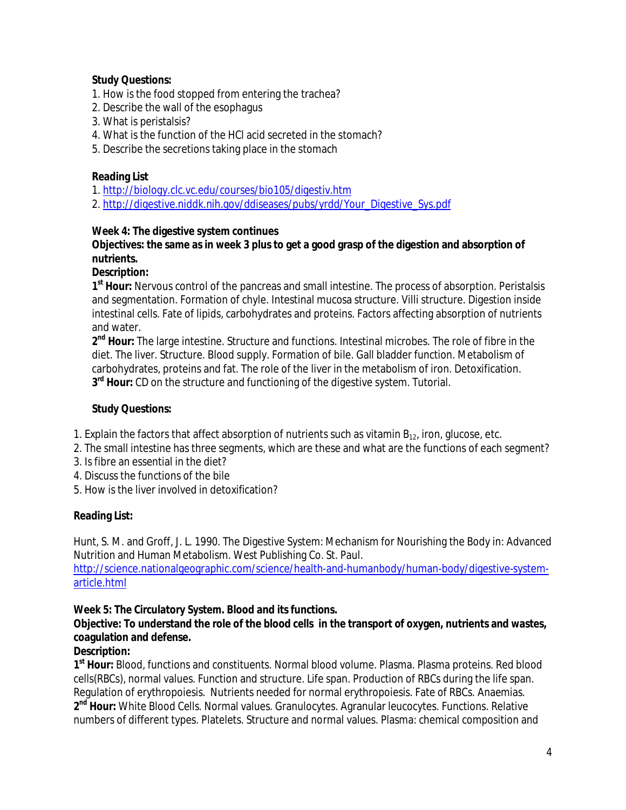#### **Study Questions:**

- 1. How is the food stopped from entering the trachea?
- 2. Describe the wall of the esophagus
- 3. What is peristalsis?
- 4. What is the function of the HCl acid secreted in the stomach?
- 5. Describe the secretions taking place in the stomach

#### **Reading List**

- 1. http://biology.clc.vc.edu/courses/bio105/digestiv.htm
- 2. http://digestive.niddk.nih.gov/ddiseases/pubs/yrdd/Your\_Digestive\_Sys.pdf

#### **Week 4: The digestive system continues**

#### **Objectives: the same as in week 3 plus to get a good grasp of the digestion and absorption of nutrients.**

#### **Description:**

**1 st Hour:** Nervous control of the pancreas and small intestine. The process of absorption. Peristalsis and segmentation. Formation of chyle. Intestinal mucosa structure. Villi structure. Digestion inside intestinal cells. Fate of lipids, carbohydrates and proteins. Factors affecting absorption of nutrients and water.

**2 nd Hour:** The large intestine. Structure and functions. Intestinal microbes. The role of fibre in the diet. The liver. Structure. Blood supply. Formation of bile. Gall bladder function. Metabolism of carbohydrates, proteins and fat. The role of the liver in the metabolism of iron. Detoxification. **3 rd Hour:** CD on the structure and functioning of the digestive system. Tutorial.

#### **Study Questions:**

- 1. Explain the factors that affect absorption of nutrients such as vitamin  $B_{12}$ , iron, glucose, etc.
- 2. The small intestine has three segments, which are these and what are the functions of each segment?
- 3. Is fibre an essential in the diet?
- 4. Discuss the functions of the bile
- 5. How is the liver involved in detoxification?

### **Reading List:**

Hunt, S. M. and Groff, J. L. 1990. The Digestive System: Mechanism for Nourishing the Body in: Advanced Nutrition and Human Metabolism. West Publishing Co. St. Paul.

http://science.nationalgeographic.com/science/health-and-humanbody/human-body/digestive-systemarticle.html

### **Week 5: The Circulatory System. Blood and its functions.**

### **Objective: To understand the role of the blood cells in the transport of oxygen, nutrients and wastes, coagulation and defense.**

### **Description:**

**1 st Hour:** Blood, functions and constituents. Normal blood volume. Plasma. Plasma proteins. Red blood cells(RBCs), normal values. Function and structure. Life span. Production of RBCs during the life span. Regulation of erythropoiesis. Nutrients needed for normal erythropoiesis. Fate of RBCs. Anaemias. **2 nd Hour:** White Blood Cells. Normal values. Granulocytes. Agranular leucocytes. Functions. Relative numbers of different types. Platelets. Structure and normal values. Plasma: chemical composition and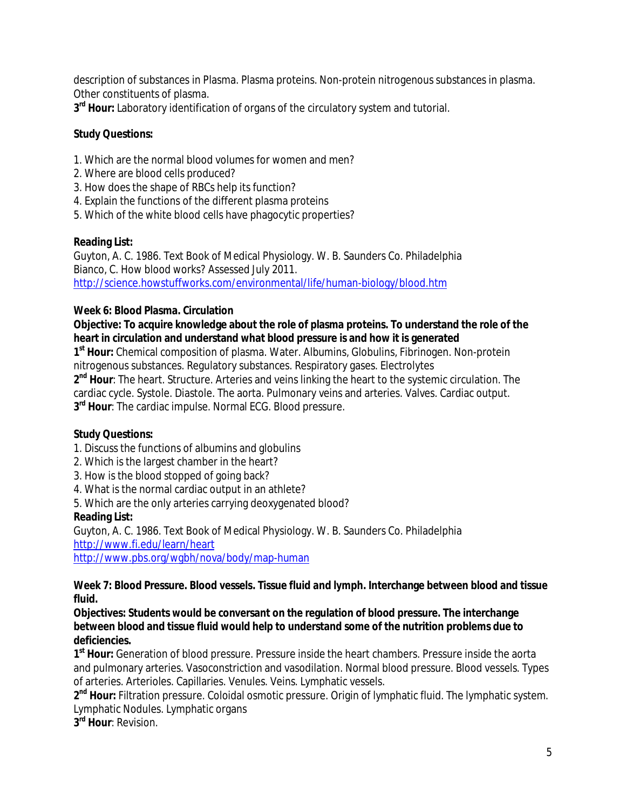description of substances in Plasma. Plasma proteins. Non-protein nitrogenous substances in plasma. Other constituents of plasma.

**3 rd Hour:** Laboratory identification of organs of the circulatory system and tutorial.

### **Study Questions:**

- 1. Which are the normal blood volumes for women and men?
- 2. Where are blood cells produced?
- 3. How does the shape of RBCs help its function?
- 4. Explain the functions of the different plasma proteins
- 5. Which of the white blood cells have phagocytic properties?

### **Reading List:**

Guyton, A. C. 1986. Text Book of Medical Physiology. W. B. Saunders Co. Philadelphia Bianco, C. How blood works? Assessed July 2011. http://science.howstuffworks.com/environmental/life/human-biology/blood.htm

### **Week 6: Blood Plasma. Circulation**

### **Objective: To acquire knowledge about the role of plasma proteins. To understand the role of the heart in circulation and understand what blood pressure is and how it is generated**

**1 st Hour:** Chemical composition of plasma. Water. Albumins, Globulins, Fibrinogen. Non-protein nitrogenous substances. Regulatory substances. Respiratory gases. Electrolytes

**2 nd Hour**: The heart. Structure. Arteries and veins linking the heart to the systemic circulation. The cardiac cycle. Systole. Diastole. The aorta. Pulmonary veins and arteries. Valves. Cardiac output. **3 rd Hour**: The cardiac impulse. Normal ECG. Blood pressure.

### **Study Questions:**

- 1. Discuss the functions of albumins and globulins
- 2. Which is the largest chamber in the heart?
- 3. How is the blood stopped of going back?
- 4. What is the normal cardiac output in an athlete?
- 5. Which are the only arteries carrying deoxygenated blood?

# **Reading List:**

Guyton, A. C. 1986. Text Book of Medical Physiology. W. B. Saunders Co. Philadelphia http://www.fi.edu/learn/heart http://www.pbs.org/wgbh/nova/body/map-human

#### **Week 7: Blood Pressure. Blood vessels. Tissue fluid and lymph. Interchange between blood and tissue fluid.**

**Objectives: Students would be conversant on the regulation of blood pressure. The interchange between blood and tissue fluid would help to understand some of the nutrition problems due to deficiencies.**

**1 st Hour:** Generation of blood pressure. Pressure inside the heart chambers. Pressure inside the aorta and pulmonary arteries. Vasoconstriction and vasodilation. Normal blood pressure. Blood vessels. Types of arteries. Arterioles. Capillaries. Venules. Veins. Lymphatic vessels.

**2 nd Hour:** Filtration pressure. Coloidal osmotic pressure. Origin of lymphatic fluid. The lymphatic system. Lymphatic Nodules. Lymphatic organs

**3 rd Hour**: Revision.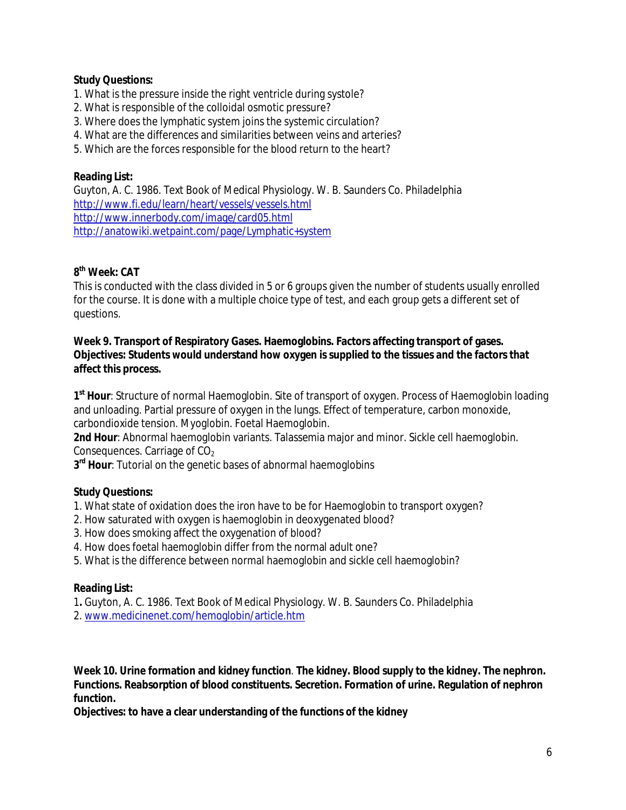#### **Study Questions:**

- 1. What is the pressure inside the right ventricle during systole?
- 2. What is responsible of the colloidal osmotic pressure?
- 3. Where does the lymphatic system joins the systemic circulation?
- 4. What are the differences and similarities between veins and arteries?
- 5. Which are the forces responsible for the blood return to the heart?

#### **Reading List:**

Guyton, A. C. 1986. Text Book of Medical Physiology. W. B. Saunders Co. Philadelphia http://www.fi.edu/learn/heart/vessels/vessels.html http://www.innerbody.com/image/card05.html http://anatowiki.wetpaint.com/page/Lymphatic+system

# **8 th Week: CAT**

This is conducted with the class divided in 5 or 6 groups given the number of students usually enrolled for the course. It is done with a multiple choice type of test, and each group gets a different set of questions.

#### **Week 9. Transport of Respiratory Gases. Haemoglobins. Factors affecting transport of gases. Objectives: Students would understand how oxygen is supplied to the tissues and the factors that affect this process.**

**1 st Hour**: Structure of normal Haemoglobin. Site of transport of oxygen. Process of Haemoglobin loading and unloading. Partial pressure of oxygen in the lungs. Effect of temperature, carbon monoxide, carbondioxide tension. Myoglobin. Foetal Haemoglobin.

**2nd Hour**: Abnormal haemoglobin variants. Talassemia major and minor. Sickle cell haemoglobin. Consequences. Carriage of  $CO<sub>2</sub>$ 

**3 rd Hour**: Tutorial on the genetic bases of abnormal haemoglobins

### **Study Questions:**

1. What state of oxidation does the iron have to be for Haemoglobin to transport oxygen?

- 2. How saturated with oxygen is haemoglobin in deoxygenated blood?
- 3. How does smoking affect the oxygenation of blood?
- 4. How does foetal haemoglobin differ from the normal adult one?
- 5. What is the difference between normal haemoglobin and sickle cell haemoglobin?

#### **Reading List:**

1**.** Guyton, A. C. 1986. Text Book of Medical Physiology. W. B. Saunders Co. Philadelphia

2. www.medicinenet.com/hemoglobin/article.htm

**Week 10. Urine formation and kidney function**. **The kidney. Blood supply to the kidney. The nephron. Functions. Reabsorption of blood constituents. Secretion. Formation of urine. Regulation of nephron function.**

**Objectives: to have a clear understanding of the functions of the kidney**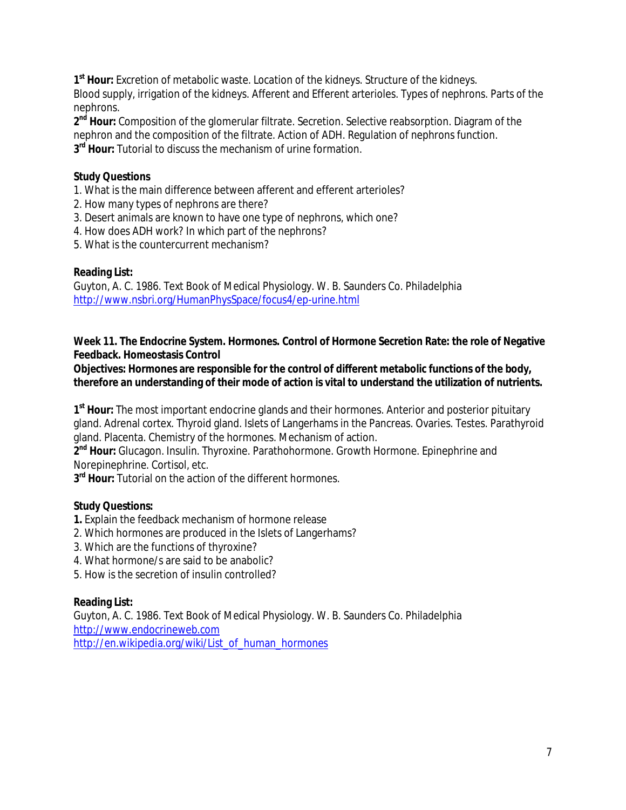1<sup>st</sup> Hour: Excretion of metabolic waste. Location of the kidneys. Structure of the kidneys. Blood supply, irrigation of the kidneys. Afferent and Efferent arterioles. Types of nephrons. Parts of the nephrons.

**2 nd Hour:** Composition of the glomerular filtrate. Secretion. Selective reabsorption. Diagram of the nephron and the composition of the filtrate. Action of ADH. Regulation of nephrons function. **3 rd Hour:** Tutorial to discuss the mechanism of urine formation.

## **Study Questions**

- 1. What is the main difference between afferent and efferent arterioles?
- 2. How many types of nephrons are there?
- 3. Desert animals are known to have one type of nephrons, which one?
- 4. How does ADH work? In which part of the nephrons?
- 5. What is the countercurrent mechanism?

### **Reading List:**

Guyton, A. C. 1986. Text Book of Medical Physiology. W. B. Saunders Co. Philadelphia http://www.nsbri.org/HumanPhysSpace/focus4/ep-urine.html

**Week 11. The Endocrine System. Hormones. Control of Hormone Secretion Rate: the role of Negative Feedback. Homeostasis Control**

**Objectives: Hormones are responsible for the control of different metabolic functions of the body, therefore an understanding of their mode of action is vital to understand the utilization of nutrients.**

**1 st Hour:** The most important endocrine glands and their hormones. Anterior and posterior pituitary gland. Adrenal cortex. Thyroid gland. Islets of Langerhams in the Pancreas. Ovaries. Testes. Parathyroid gland. Placenta. Chemistry of the hormones. Mechanism of action.

**2 nd Hour:** Glucagon. Insulin. Thyroxine. Parathohormone. Growth Hormone. Epinephrine and Norepinephrine. Cortisol, etc.

**3 rd Hour:** Tutorial on the action of the different hormones.

### **Study Questions:**

- **1.** Explain the feedback mechanism of hormone release
- 2. Which hormones are produced in the Islets of Langerhams?
- 3. Which are the functions of thyroxine?
- 4. What hormone/s are said to be anabolic?
- 5. How is the secretion of insulin controlled?

### **Reading List:**

Guyton, A. C. 1986. Text Book of Medical Physiology. W. B. Saunders Co. Philadelphia http://www.endocrineweb.com http://en.wikipedia.org/wiki/List\_of\_human\_hormones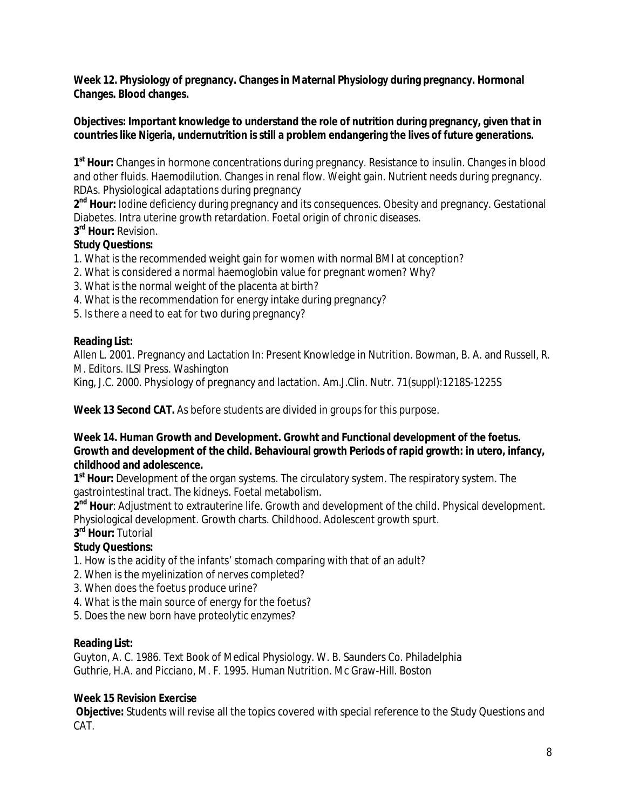**Week 12. Physiology of pregnancy. Changes in Maternal Physiology during pregnancy. Hormonal Changes. Blood changes.** 

#### **Objectives: Important knowledge to understand the role of nutrition during pregnancy, given that in countries like Nigeria, undernutrition is still a problem endangering the lives of future generations.**

**1 st Hour:** Changes in hormone concentrations during pregnancy. Resistance to insulin. Changes in blood and other fluids. Haemodilution. Changes in renal flow. Weight gain. Nutrient needs during pregnancy. RDAs. Physiological adaptations during pregnancy

2<sup>nd</sup> Hour: lodine deficiency during pregnancy and its consequences. Obesity and pregnancy. Gestational Diabetes. Intra uterine growth retardation. Foetal origin of chronic diseases.

# **3 rd Hour:** Revision.

## **Study Questions:**

1. What is the recommended weight gain for women with normal BMI at conception?

- 2. What is considered a normal haemoglobin value for pregnant women? Why?
- 3. What is the normal weight of the placenta at birth?
- 4. What is the recommendation for energy intake during pregnancy?
- 5. Is there a need to eat for two during pregnancy?

### **Reading List:**

Allen L. 2001. Pregnancy and Lactation In: Present Knowledge in Nutrition. Bowman, B. A. and Russell, R. M. Editors. ILSI Press. Washington

King, J.C. 2000. Physiology of pregnancy and lactation. Am.J.Clin. Nutr. 71(suppl):1218S-1225S

**Week 13 Second CAT.** As before students are divided in groups for this purpose.

#### **Week 14. Human Growth and Development. Growht and Functional development of the foetus. Growth and development of the child. Behavioural growth Periods of rapid growth: in utero, infancy, childhood and adolescence.**

**1 st Hour:** Development of the organ systems. The circulatory system. The respiratory system. The gastrointestinal tract. The kidneys. Foetal metabolism.

**2 nd Hour**: Adjustment to extrauterine life. Growth and development of the child. Physical development. Physiological development. Growth charts. Childhood. Adolescent growth spurt.

## **3 rd Hour:** Tutorial

### **Study Questions:**

- 1. How is the acidity of the infants' stomach comparing with that of an adult?
- 2. When is the myelinization of nerves completed?
- 3. When does the foetus produce urine?
- 4. What is the main source of energy for the foetus?
- 5. Does the new born have proteolytic enzymes?

### **Reading List:**

Guyton, A. C. 1986. Text Book of Medical Physiology. W. B. Saunders Co. Philadelphia Guthrie, H.A. and Picciano, M. F. 1995. Human Nutrition. Mc Graw-Hill. Boston

### **Week 15 Revision Exercise**

**Objective:** Students will revise all the topics covered with special reference to the Study Questions and CAT.